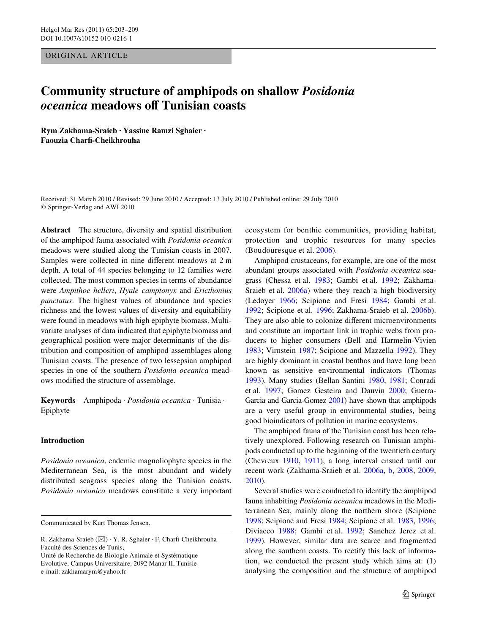ORIGINAL ARTICLE

# **Community structure of amphipods on shallow** *Posidonia oceanica* **meadows oV Tunisian coasts**

**Rym Zakhama-Sraieb · Yassine Ramzi Sghaier · Faouzia CharW-Cheikhrouha** 

Received: 31 March 2010 / Revised: 29 June 2010 / Accepted: 13 July 2010 / Published online: 29 July 2010 © Springer-Verlag and AWI 2010

**Abstract** The structure, diversity and spatial distribution of the amphipod fauna associated with *Posidonia oceanica* meadows were studied along the Tunisian coasts in 2007. Samples were collected in nine different meadows at 2 m depth. A total of 44 species belonging to 12 families were collected. The most common species in terms of abundance were *Ampithoe helleri*, *Hyale camptonyx* and *Ericthonius punctatus*. The highest values of abundance and species richness and the lowest values of diversity and equitability were found in meadows with high epiphyte biomass. Multivariate analyses of data indicated that epiphyte biomass and geographical position were major determinants of the distribution and composition of amphipod assemblages along Tunisian coasts. The presence of two lessepsian amphipod species in one of the southern *Posidonia oceanica* meadows modified the structure of assemblage.

**Keywords** Amphipoda · *Posidonia oceanica* · Tunisia · Epiphyte

# **Introduction**

*Posidonia oceanica*, endemic magnoliophyte species in the Mediterranean Sea, is the most abundant and widely distributed seagrass species along the Tunisian coasts. *Posidonia oceanica* meadows constitute a very important

Communicated by Kurt Thomas Jensen.

Unité de Recherche de Biologie Animale et Systématique Evolutive, Campus Universitaire, 2092 Manar II, Tunisie e-mail: zakhamarym@yahoo.fr

ecosystem for benthic communities, providing habitat, protection and trophic resources for many species (Boudouresque et al. [2006\)](#page-5-0).

Amphipod crustaceans, for example, are one of the most abundant groups associated with *Posidonia oceanica* seagrass (Chessa et al. [1983](#page-5-1); Gambi et al. [1992](#page-6-0); Zakhama-Sraieb et al. [2006a\)](#page-6-1) where they reach a high biodiversity (Ledoyer [1966;](#page-6-2) Scipione and Fresi [1984](#page-6-3); Gambi et al. [1992](#page-6-0); Scipione et al. [1996](#page-6-4); Zakhama-Sraieb et al. [2006b](#page-6-5)). They are also able to colonize different microenvironments and constitute an important link in trophic webs from producers to higher consumers (Bell and Harmelin-Vivien [1983](#page-5-2); Virnstein [1987;](#page-6-6) Scipione and Mazzella [1992\)](#page-6-7). They are highly dominant in coastal benthos and have long been known as sensitive environmental indicators (Thomas [1993](#page-6-8)). Many studies (Bellan Santini [1980](#page-5-3), [1981;](#page-5-4) Conradi et al. [1997;](#page-5-5) Gomez Gesteira and Dauvin [2000](#page-6-9); Guerra-Garcia and Garcia-Gomez [2001\)](#page-6-10) have shown that amphipods are a very useful group in environmental studies, being good bioindicators of pollution in marine ecosystems.

The amphipod fauna of the Tunisian coast has been relatively unexplored. Following research on Tunisian amphipods conducted up to the beginning of the twentieth century (Chevreux [1910,](#page-5-6) [1911\)](#page-5-7), a long interval ensued until our recent work (Zakhama-Sraieb et al. [2006a,](#page-6-1) [b,](#page-6-5) [2008,](#page-6-11) [2009,](#page-6-12) [2010](#page-6-17)).

Several studies were conducted to identify the amphipod fauna inhabiting *Posidonia oceanica* meadows in the Mediterranean Sea, mainly along the northern shore (Scipione [1998](#page-6-13); Scipione and Fresi [1984](#page-6-3); Scipione et al. [1983](#page-6-14), [1996;](#page-6-4) Diviacco [1988](#page-6-15); Gambi et al. [1992;](#page-6-0) Sanchez Jerez et al. [1999](#page-6-16)). However, similar data are scarce and fragmented along the southern coasts. To rectify this lack of information, we conducted the present study which aims at: (1) analysing the composition and the structure of amphipod

R. Zakhama-Sraieb  $(\boxtimes) \cdot Y$ . R. Sghaier  $\cdot$  F. Charfi-Cheikhrouha Faculté des Sciences de Tunis,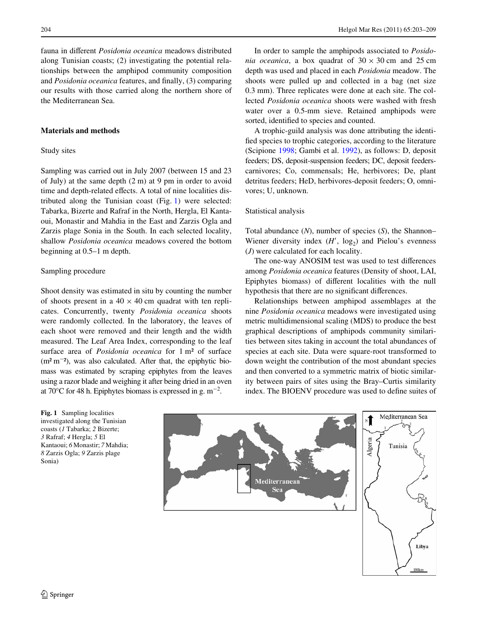fauna in different *Posidonia oceanica* meadows distributed along Tunisian coasts; (2) investigating the potential relationships between the amphipod community composition and *Posidonia oceanica* features, and finally, (3) comparing our results with those carried along the northern shore of the Mediterranean Sea.

# **Materials and methods**

## Study sites

Sampling was carried out in July 2007 (between 15 and 23 of July) at the same depth (2 m) at 9 pm in order to avoid time and depth-related effects. A total of nine localities distributed along the Tunisian coast (Fig. [1](#page-1-0)) were selected: Tabarka, Bizerte and Rafraf in the North, Hergla, El Kantaoui, Monastir and Mahdia in the East and Zarzis Ogla and Zarzis plage Sonia in the South. In each selected locality, shallow *Posidonia oceanica* meadows covered the bottom beginning at 0.5–1 m depth.

# Sampling procedure

Shoot density was estimated in situ by counting the number of shoots present in a  $40 \times 40$  cm quadrat with ten replicates. Concurrently, twenty *Posidonia oceanica* shoots were randomly collected. In the laboratory, the leaves of each shoot were removed and their length and the width measured. The Leaf Area Index, corresponding to the leaf surface area of *Posidonia oceanica* for 1 m² of surface  $(m<sup>2</sup> m<sup>-2</sup>)$ , was also calculated. After that, the epiphytic biomass was estimated by scraping epiphytes from the leaves using a razor blade and weighing it after being dried in an oven at 70 $^{\circ}$ C for 48 h. Epiphytes biomass is expressed in g. m<sup>-2</sup>.

In order to sample the amphipods associated to *Posidonia oceanica*, a box quadrat of  $30 \times 30$  cm and 25 cm depth was used and placed in each *Posidonia* meadow. The shoots were pulled up and collected in a bag (net size 0.3 mm). Three replicates were done at each site. The collected *Posidonia oceanica* shoots were washed with fresh water over a 0.5-mm sieve. Retained amphipods were sorted, identified to species and counted.

A trophic-guild analysis was done attributing the identified species to trophic categories, according to the literature (Scipione [1998;](#page-6-13) Gambi et al. [1992](#page-6-0)), as follows: D, deposit feeders; DS, deposit-suspension feeders; DC, deposit feederscarnivores; Co, commensals; He, herbivores; De, plant detritus feeders; HeD, herbivores-deposit feeders; O, omnivores; U, unknown.

## Statistical analysis

Total abundance (*N*), number of species (*S*), the Shannon– Wiener diversity index  $(H', \log_2)$  and Pielou's evenness (*J*) were calculated for each locality.

The one-way ANOSIM test was used to test differences among *Posidonia oceanica* features (Density of shoot, LAI, Epiphytes biomass) of different localities with the null hypothesis that there are no significant differences.

Relationships between amphipod assemblages at the nine *Posidonia oceanica* meadows were investigated using metric multidimensional scaling (MDS) to produce the best graphical descriptions of amphipods community similarities between sites taking in account the total abundances of species at each site. Data were square-root transformed to down weight the contribution of the most abundant species and then converted to a symmetric matrix of biotic similarity between pairs of sites using the Bray–Curtis similarity index. The BIOENV procedure was used to define suites of

<span id="page-1-0"></span>**Fig. 1** Sampling localities investigated along the Tunisian coasts (*1* Tabarka; *2* Bizerte; *3* Rafraf; *4* Hergla; *5* El Kantaoui; *6* Monastir; *7* Mahdia; *8* Zarzis Ogla; *9* Zarzis plage Sonia)

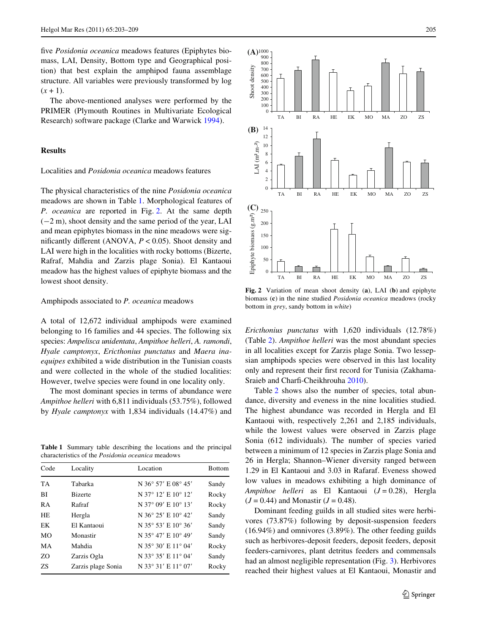five *Posidonia oceanica* meadows features (Epiphytes biomass, LAI, Density, Bottom type and Geographical position) that best explain the amphipod fauna assemblage structure. All variables were previously transformed by log  $(x + 1)$ .

The above-mentioned analyses were performed by the PRIMER (Plymouth Routines in Multivariate Ecological Research) software package (Clarke and Warwick [1994](#page-5-8)).

# **Results**

## Localities and *Posidonia oceanica* meadows features

The physical characteristics of the nine *Posidonia oceanica* meadows are shown in Table [1.](#page-2-0) Morphological features of *P. oceanica* are reported in Fig. [2.](#page-2-1) At the same depth  $(-2 \text{ m})$ , shoot density and the same period of the year, LAI and mean epiphytes biomass in the nine meadows were significantly different (ANOVA,  $P < 0.05$ ). Shoot density and LAI were high in the localities with rocky bottoms (Bizerte, Rafraf, Mahdia and Zarzis plage Sonia). El Kantaoui meadow has the highest values of epiphyte biomass and the lowest shoot density.

#### Amphipods associated to *P. oceanica* meadows

A total of 12,672 individual amphipods were examined belonging to 16 families and 44 species. The following six species: *Ampelisca unidentata*, *Ampithoe helleri*, *A. ramondi*, *Hyale camptonyx*, *Ericthonius punctatus* and *Maera inaequipes* exhibited a wide distribution in the Tunisian coasts and were collected in the whole of the studied localities: However, twelve species were found in one locality only.

The most dominant species in terms of abundance were *Ampithoe helleri* with 6,811 individuals (53.75%), followed by *Hyale camptonyx* with 1,834 individuals (14.47%) and

<span id="page-2-0"></span>**Table 1** Summary table describing the locations and the principal characteristics of the *Posidonia oceanica* meadows

| Code      | Locality           | Location            | <b>Bottom</b> |
|-----------|--------------------|---------------------|---------------|
| <b>TA</b> | Tabarka            | N 36° 57' E 08° 45' | Sandy         |
| BI        | <b>Bizerte</b>     | N 37° 12' E 10° 12' | Rocky         |
| <b>RA</b> | Rafraf             | N 37° 09' E 10° 13' | Rocky         |
| <b>HE</b> | Hergla             | N 36° 25' E 10° 42' | Sandy         |
| EK        | El Kantaoui        | N 35° 53' E 10° 36' | Sandy         |
| <b>MO</b> | Monastir           | N 35° 47' E 10° 49' | Sandy         |
| MА        | Mahdia             | N 35° 30' E 11° 04' | Rocky         |
| ZO        | Zarzis Ogla        | N 33° 35' E 11° 04' | Sandy         |
| 7S        | Zarzis plage Sonia | N 33° 31' E 11° 07' | Rocky         |



<span id="page-2-1"></span>**Fig. 2** Variation of mean shoot density (**a**), LAI (**b**) and epiphyte biomass (**c**) in the nine studied *Posidonia oceanica* meadows (rocky bottom in *grey*, sandy bottom in *white*)

*Ericthonius punctatus* with 1,620 individuals (12.78%) (Table [2\)](#page-3-0). *Ampithoe helleri* was the most abundant species in all localities except for Zarzis plage Sonia. Two lessepsian amphipods species were observed in this last locality only and represent their first record for Tunisia (Zakhama-Sraieb and Charfi-Cheikhrouha [2010](#page-6-18)).

Table [2](#page-3-0) shows also the number of species, total abundance, diversity and eveness in the nine localities studied. The highest abundance was recorded in Hergla and El Kantaoui with, respectively 2,261 and 2,185 individuals, while the lowest values were observed in Zarzis plage Sonia (612 individuals). The number of species varied between a minimum of 12 species in Zarzis plage Sonia and 26 in Hergla; Shannon–Wiener diversity ranged between 1.29 in El Kantaoui and 3.03 in Rafaraf. Eveness showed low values in meadows exhibiting a high dominance of *Ampithoe helleri* as El Kantaoui (*J* = 0.28), Hergla  $(J = 0.44)$  and Monastir  $(J = 0.48)$ .

Dominant feeding guilds in all studied sites were herbivores (73.87%) following by deposit-suspension feeders (16.94%) and omnivores (3.89%). The other feeding guilds such as herbivores-deposit feeders, deposit feeders, deposit feeders-carnivores, plant detritus feeders and commensals had an almost negligible representation (Fig. [3\)](#page-4-0). Herbivores reached their highest values at El Kantaoui, Monastir and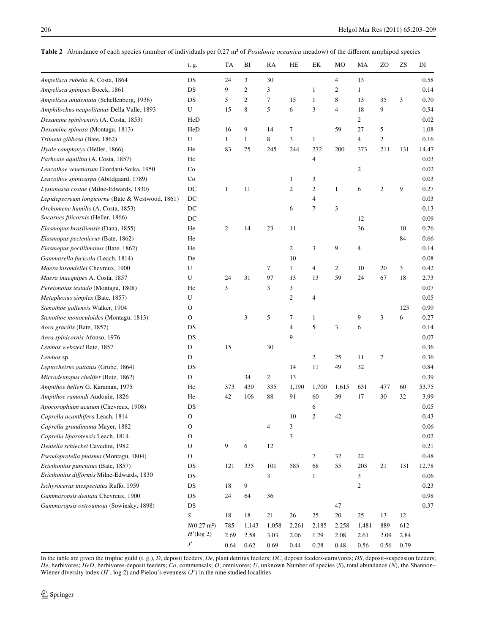<span id="page-3-0"></span>Table 2 Abundance of each species (number of individuals per 0.27 m<sup>2</sup> of *Posidonia oceanica* meadow) of the different amphipod species

|                                                  | t. g.                 | TA           | BI               | RA             | HE             | EK           | MO               | MA               | ZO             | ZS   | DI    |
|--------------------------------------------------|-----------------------|--------------|------------------|----------------|----------------|--------------|------------------|------------------|----------------|------|-------|
| Ampelisca rubella A. Costa, 1864                 | DS                    | 24           | 3                | 30             |                |              | $\overline{4}$   | 13               |                |      | 0.58  |
| Ampelisca spinipes Boeck, 1861                   | DS                    | 9            | $\overline{2}$   | 3              |                | 1            | $\boldsymbol{2}$ | $\mathbf{1}$     |                |      | 0.14  |
| Ampelisca unidentata (Schellenberg, 1936)        | DS                    | 5            | $\boldsymbol{2}$ | 7              | 15             | $\mathbf{1}$ | $\,$ 8 $\,$      | 13               | 35             | 3    | 0.70  |
| Amphilochus neapolitanus Della Valle, 1893       | U                     | 15           | 8                | 5              | 6              | 3            | 4                | 18               | 9              |      | 0.54  |
| Dexamine spiniventris (A. Costa, 1853)           | HeD                   |              |                  |                |                |              |                  | $\boldsymbol{2}$ |                |      | 0.02  |
| Dexamine spinosa (Montagu, 1813)                 | HeD                   | 16           | 9                | 14             | 7              |              | 59               | 27               | 5              |      | 1.08  |
| Tritaeta gibbosa (Bate, 1862)                    | U                     | $\mathbf{1}$ | 1                | 8              | 3              | $\mathbf{1}$ |                  | 4                | $\mathfrak{2}$ |      | 0.16  |
| Hyale camptonyx (Heller, 1866)                   | He                    | 83           | 75               | 245            | 244            | 272          | 200              | 373              | 211            | 131  | 14.47 |
| Parhyale aquilina (A. Costa, 1857)               | He                    |              |                  |                |                | 4            |                  |                  |                |      | 0.03  |
| Leucothoe venetiarum Giordani-Soika, 1950        | Co                    |              |                  |                |                |              |                  | $\overline{c}$   |                |      | 0.02  |
| Leucothoe spinicarpa (Abildgaard, 1789)          | Co                    |              |                  |                | 1              | 3            |                  |                  |                |      | 0.03  |
| Lysianassa costae (Milne-Edwards, 1830)          | DC                    | $\mathbf{1}$ | 11               |                | 2              | 2            | $\mathbf{1}$     | 6                | $\overline{2}$ | 9    | 0.27  |
| Lepidepecreum longicorne (Bate & Westwood, 1861) | DC                    |              |                  |                |                | 4            |                  |                  |                |      | 0.03  |
| Orchomene humilis (A. Costa, 1853)               | DC                    |              |                  |                | 6              | 7            | 3                |                  |                |      | 0.13  |
| Socarnes filicornis (Heller, 1866)               | DC                    |              |                  |                |                |              |                  | 12               |                |      | 0.09  |
| Elasmopus brasiliensis (Dana, 1855)              | He                    | 2            | 14               | 23             | 11             |              |                  | 36               |                | 10   | 0.76  |
| Elasmopus pectenicrus (Bate, 1862)               | He                    |              |                  |                |                |              |                  |                  |                | 84   | 0.66  |
| Elasmopus pocillimanus (Bate, 1862)              | He                    |              |                  |                | $\overline{c}$ | 3            | 9                | $\overline{4}$   |                |      | 0.14  |
| Gammarella fucicola (Leach, 1814)                | De                    |              |                  |                | 10             |              |                  |                  |                |      | 0.08  |
| Maera hirondellei Chevreux, 1900                 | U                     |              |                  | 7              | 7              | 4            | 2                | 10               | 20             | 3    | 0.42  |
| Maera inaequipes A. Costa, 1857                  | U                     | 24           | 31               | 97             | 13             | 13           | 59               | 24               | 67             | 18   | 2.73  |
| Pereionotus testudo (Montagu, 1808)              | He                    | 3            |                  | 3              | 3              |              |                  |                  |                |      | 0.07  |
| Metaphoxus simplex (Bate, 1857)                  | U                     |              |                  |                | 2              | 4            |                  |                  |                |      | 0.05  |
| Stenothoe gallensis Walker, 1904                 | O                     |              |                  |                |                |              |                  |                  |                | 125  | 0.99  |
| Stenothoe monoculoides (Montagu, 1813)           | O                     |              | 3                | 5              | 7              | 1            |                  | 9                | 3              | 6    | 0.27  |
| Aora gracilis (Bate, 1857)                       | DS                    |              |                  |                | 4              | 5            | 3                | 6                |                |      | 0.14  |
| Aora spinicornis Afonso, 1976                    | DS                    |              |                  |                | 9              |              |                  |                  |                |      | 0.07  |
| Lembos websteri Bate, 1857                       | D                     | 15           |                  | 30             |                |              |                  |                  |                |      | 0.36  |
| Lembos sp                                        | D                     |              |                  |                |                | 2            | 25               | 11               | $\tau$         |      | 0.36  |
| Leptocheirus guttatus (Grube, 1864)              | DS                    |              |                  |                | 14             | 11           | 49               | 32               |                |      | 0.84  |
| Microdeutopus chelifer (Bate, 1862)              | ${\mathbb D}$         |              | 34               | $\overline{c}$ | 13             |              |                  |                  |                |      | 0.39  |
| Ampithoe helleri G. Karaman, 1975                | He                    | 373          | 430              | 335            | 1,190          | 1,700        | 1,615            | 631              | 477            | 60   | 53.75 |
| Ampithoe ramondi Audouin, 1826                   | He                    | 42           | 106              | 88             | 91             | 60           | 39               | 17               | 30             | 32   | 3.99  |
| Apocorophium acutum (Chevreux, 1908)             | DS                    |              |                  |                |                | 6            |                  |                  |                |      | 0.05  |
| Caprella acanthifera Leach, 1814                 | $\mathbf O$           |              |                  |                | 10             | 2            | 42               |                  |                |      | 0.43  |
| Caprella grandimana Mayer, 1882                  | O                     |              |                  | 4              | 3              |              |                  |                  |                |      | 0.06  |
| Caprella liparotensis Leach, 1814                | O                     |              |                  |                | 3              |              |                  |                  |                |      | 0.02  |
| Deutella schieckei Cavedini, 1982                | O                     | 9            | 6                | 12             |                |              |                  |                  |                |      | 0.21  |
| Pseudoprotella phasma (Montagu, 1804)            | О                     |              |                  |                |                | 7            | 32               | 22               |                |      | 0.48  |
| Ericthonius punctatus (Bate, 1857)               | DS                    | 121          | 335              | 101            | 585            | 68           | 55               | 203              | 21             | 131  | 12.78 |
| Ericthonius difformis Milne-Edwards, 1830        | DS                    |              |                  | 3              |                | $\mathbf{1}$ |                  | 3                |                |      | 0.06  |
| Ischyrocerus inexpectatus Ruffo, 1959            | DS                    | 18           | 9                |                |                |              |                  | $\mathfrak{2}$   |                |      | 0.23  |
| Gammaropsis dentata Chevreux, 1900               | DS                    | 24           | 64               | 36             |                |              |                  |                  |                |      | 0.98  |
| Gammaropsis ostroumoui (Sowinsky, 1898)          | DS                    |              |                  |                |                |              | 47               |                  |                |      | 0.37  |
|                                                  | S                     | 18           | 18               | 21             | 26             | 25           | $20\,$           | 25               | 13             | 12   |       |
|                                                  | $N(0.27 \text{ m}^2)$ | 785          | 1,143            | 1,058          | 2,261          | 2,185        | 2,258            | 1,481            | 889            | 612  |       |
|                                                  | $H'(\log 2)$          | 2.69         | 2.58             | 3.03           | 2.06           | 1.29         | 2.08             | 2.61             | 2.09           | 2.84 |       |
|                                                  | $J^{\prime}$          | 0.64         | 0.62             | 0.69           | 0.44           | 0.28         | 0.48             | 0.56             | 0.56           | 0.79 |       |

In the table are given the trophic guild (t. g.), *D*, deposit feeders; *De*, plant detritus feeders; *DC*, deposit feeders-carnivores; *DS*, deposit-suspension feeders; *He*, herbivores; *HeD*, herbivores-deposit feeders; *Co*, commensals; *O*, omnivores; *U*, unknown Number of species (*S*), total abundance (*N*), the Shannon– Wiener diversity index  $(H', \log 2)$  and Pielou's evenness  $(J')$  in the nine studied localities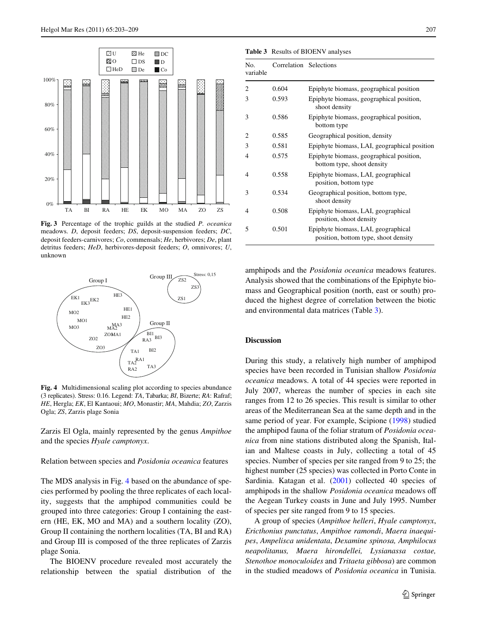

<span id="page-4-0"></span>**Fig. 3** Percentage of the trophic guilds at the studied *P. oceanica* meadows. *D*, deposit feeders; *DS*, deposit-suspension feeders; *DC*, deposit feeders-carnivores; *Co*, commensals; *He*, herbivores; *De*, plant detritus feeders; *HeD*, herbivores-deposit feeders; *O*, omnivores; *U*, unknown



<span id="page-4-1"></span>**Fig. 4** Multidimensional scaling plot according to species abundance (3 replicates). Stress: 0.16. Legend: *TA*, Tabarka; *BI*, Bizerte; *RA*: Rafraf; *HE*, Hergla; *EK*, El Kantaoui; *MO*, Monastir; *MA*, Mahdia; *ZO*, Zarzis Ogla; *ZS*, Zarzis plage Sonia

Zarzis El Ogla, mainly represented by the genus *Ampithoe* and the species *Hyale camptonyx*.

#### Relation between species and *Posidonia oceanica* features

The MDS analysis in Fig. [4](#page-4-1) based on the abundance of species performed by pooling the three replicates of each locality, suggests that the amphipod communities could be grouped into three categories: Group I containing the eastern (HE, EK, MO and MA) and a southern locality (ZO), Group II containing the northern localities (TA, BI and RA) and Group III is composed of the three replicates of Zarzis plage Sonia.

The BIOENV procedure revealed most accurately the relationship between the spatial distribution of the

<span id="page-4-2"></span>**Table 3** Results of BIOENV analyses

| No.<br>variable | Correlation Selections |                                                                             |
|-----------------|------------------------|-----------------------------------------------------------------------------|
| 2               | 0.604                  | Epiphyte biomass, geographical position                                     |
| 3               | 0.593                  | Epiphyte biomass, geographical position,<br>shoot density                   |
| 3               | 0.586                  | Epiphyte biomass, geographical position,<br>bottom type                     |
| 2               | 0.585                  | Geographical position, density                                              |
| 3               | 0.581                  | Epiphyte biomass, LAI, geographical position                                |
| 4               | 0.575                  | Epiphyte biomass, geographical position,<br>bottom type, shoot density      |
| 4               | 0.558                  | Epiphyte biomass, LAI, geographical<br>position, bottom type                |
| 3               | 0.534                  | Geographical position, bottom type,<br>shoot density                        |
| 4               | 0.508                  | Epiphyte biomass, LAI, geographical<br>position, shoot density              |
| 5               | 0.501                  | Epiphyte biomass, LAI, geographical<br>position, bottom type, shoot density |

amphipods and the *Posidonia oceanica* meadows features. Analysis showed that the combinations of the Epiphyte biomass and Geographical position (north, east or south) produced the highest degree of correlation between the biotic and environmental data matrices (Table [3](#page-4-2)).

# **Discussion**

During this study, a relatively high number of amphipod species have been recorded in Tunisian shallow *Posidonia oceanica* meadows. A total of 44 species were reported in July 2007, whereas the number of species in each site ranges from 12 to 26 species. This result is similar to other areas of the Mediterranean Sea at the same depth and in the same period of year. For example, Scipione [\(1998](#page-6-13)) studied the amphipod fauna of the foliar stratum of *Posidonia oceanica* from nine stations distributed along the Spanish, Italian and Maltese coasts in July, collecting a total of 45 species. Number of species per site ranged from 9 to 25; the highest number (25 species) was collected in Porto Conte in Sardinia. Katagan et al. [\(2001\)](#page-6-19) collected 40 species of amphipods in the shallow *Posidonia oceanica* meadows off the Aegean Turkey coasts in June and July 1995. Number of species per site ranged from 9 to 15 species.

A group of species (*Ampithoe helleri*, *Hyale camptonyx*, *Ericthonius punctatus*, *Ampithoe ramondi*, *Maera inaequipes*, *Ampelisca unidentata*, *Dexamine spinosa, Amphilocus neapolitanus, Maera hirondellei, Lysianassa costae, Stenothoe monoculoides* and *Tritaeta gibbosa*) are common in the studied meadows of *Posidonia oceanica* in Tunisia.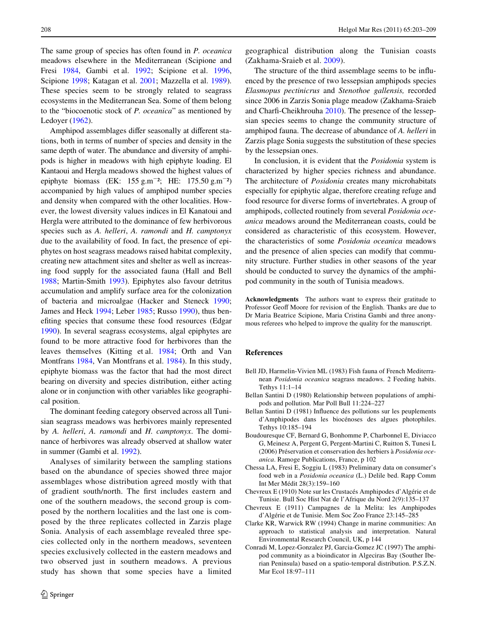The same group of species has often found in *P. oceanica* meadows elsewhere in the Mediterranean (Scipione and Fresi [1984](#page-6-3), Gambi et al. [1992](#page-6-0); Scipione et al. [1996,](#page-6-4) Scipione [1998](#page-6-13); Katagan et al. [2001;](#page-6-19) Mazzella et al. [1989](#page-6-20)). These species seem to be strongly related to seagrass ecosystems in the Mediterranean Sea. Some of them belong to the "biocoenotic stock of *P. oceanica*" as mentioned by Ledoyer [\(1962](#page-6-21)).

Amphipod assemblages differ seasonally at different stations, both in terms of number of species and density in the same depth of water. The abundance and diversity of amphipods is higher in meadows with high epiphyte loading. El Kantaoui and Hergla meadows showed the highest values of epiphyte biomass (EK:  $155 \text{ g.m}^{-2}$ ; HE:  $175.50 \text{ g.m}^{-2}$ ) accompanied by high values of amphipod number species and density when compared with the other localities. However, the lowest diversity values indices in El Kanatoui and Hergla were attributed to the dominance of few herbivorous species such as *A. helleri*, *A. ramondi* and *H. camptonyx* due to the availability of food. In fact, the presence of epiphytes on host seagrass meadows raised habitat complexity, creating new attachment sites and shelter as well as increasing food supply for the associated fauna (Hall and Bell [1988](#page-6-22); Martin-Smith [1993\)](#page-6-23). Epiphytes also favour detritus accumulation and amplify surface area for the colonization of bacteria and microalgae (Hacker and Steneck [1990](#page-6-24); James and Heck [1994](#page-6-25); Leber [1985;](#page-6-26) Russo [1990](#page-6-27)), thus benefiting species that consume these food resources (Edgar [1990](#page-6-28)). In several seagrass ecosystems, algal epiphytes are found to be more attractive food for herbivores than the leaves themselves (Kitting et al. [1984](#page-6-29); Orth and Van Montfrans [1984,](#page-6-30) Van Montfrans et al. [1984\)](#page-6-31). In this study, epiphyte biomass was the factor that had the most direct bearing on diversity and species distribution, either acting alone or in conjunction with other variables like geographical position.

The dominant feeding category observed across all Tunisian seagrass meadows was herbivores mainly represented by *A. helleri*, *A. ramondi* and *H. camptonyx*. The dominance of herbivores was already observed at shallow water in summer (Gambi et al. [1992\)](#page-6-0).

Analyses of similarity between the sampling stations based on the abundance of species showed three major assemblages whose distribution agreed mostly with that of gradient south/north. The first includes eastern and one of the southern meadows, the second group is composed by the northern localities and the last one is composed by the three replicates collected in Zarzis plage Sonia. Analysis of each assemblage revealed three species collected only in the northern meadows, seventeen species exclusively collected in the eastern meadows and two observed just in southern meadows. A previous study has shown that some species have a limited geographical distribution along the Tunisian coasts (Zakhama-Sraieb et al. [2009\)](#page-6-12).

The structure of the third assemblage seems to be influenced by the presence of two lessepsian amphipods species *Elasmopus pectinicrus* and *Stenothoe gallensis,* recorded since 2006 in Zarzis Sonia plage meadow (Zakhama-Sraieb and Charfi-Cheikhrouha  $2010$ ). The presence of the lessepsian species seems to change the community structure of amphipod fauna. The decrease of abundance of *A. helleri* in Zarzis plage Sonia suggests the substitution of these species by the lessepsian ones.

In conclusion, it is evident that the *Posidonia* system is characterized by higher species richness and abundance. The architecture of *Posidonia* creates many microhabitats especially for epiphytic algae, therefore creating refuge and food resource for diverse forms of invertebrates. A group of amphipods, collected routinely from several *Posidonia oceanica* meadows around the Mediterranean coasts, could be considered as characteristic of this ecosystem. However, the characteristics of some *Posidonia oceanica* meadows and the presence of alien species can modify that community structure. Further studies in other seasons of the year should be conducted to survey the dynamics of the amphipod community in the south of Tunisia meadows.

**Acknowledgments** The authors want to express their gratitude to Professor Geoff Moore for revision of the English. Thanks are due to Dr Maria Beatrice Scipione, Maria Cristina Gambi and three anonymous referees who helped to improve the quality for the manuscript.

## **References**

- <span id="page-5-2"></span>Bell JD, Harmelin-Vivien ML (1983) Fish fauna of French Mediterranean *Posidonia oceanica* seagrass meadows. 2 Feeding habits. Tethys 11:1–14
- <span id="page-5-3"></span>Bellan Santini D (1980) Relationship between populations of amphipods and pollution. Mar Poll Bull 11:224–227
- <span id="page-5-4"></span>Bellan Santini D (1981) Influence des pollutions sur les peuplements d'Amphipodes dans les biocénoses des algues photophiles. Tethys 10:185–194
- <span id="page-5-0"></span>Boudouresque CF, Bernard G, Bonhomme P, Charbonnel E, Diviacco G, Meinesz A, Pergent G, Pergent-Martini C, Ruitton S, Tunesi L (2006) Préservation et conservation des herbiers à *Posidonia oceanica*. Ramoge Publications, France, p 102
- <span id="page-5-1"></span>Chessa LA, Fresi E, Soggiu L (1983) Preliminary data on consumer's food web in a *Posidonia oceanica* (L.) Delile bed. Rapp Comm Int Mer Médit 28(3):159–160
- <span id="page-5-6"></span>Chevreux E (1910) Note sur les Crustacés Amphipodes d'Algérie et de Tunisie. Bull Soc Hist Nat de l'Afrique du Nord 2(9):135–137
- <span id="page-5-7"></span>Chevreux E (1911) Campagnes de la Melita: les Amphipodes d'Algérie et de Tunisie. Mem Soc Zoo France 23:145–285
- <span id="page-5-8"></span>Clarke KR, Warwick RW (1994) Change in marine communities: An approach to statistical analysis and interpretation. Natural Environmental Research Council, UK, p 144
- <span id="page-5-5"></span>Conradi M, Lopez-Gonzalez PJ, Garcia-Gomez JC (1997) The amphipod community as a bioindicator in Algeciras Bay (Souther Iberian Peninsula) based on a spatio-temporal distribution. P.S.Z.N. Mar Ecol 18:97–111